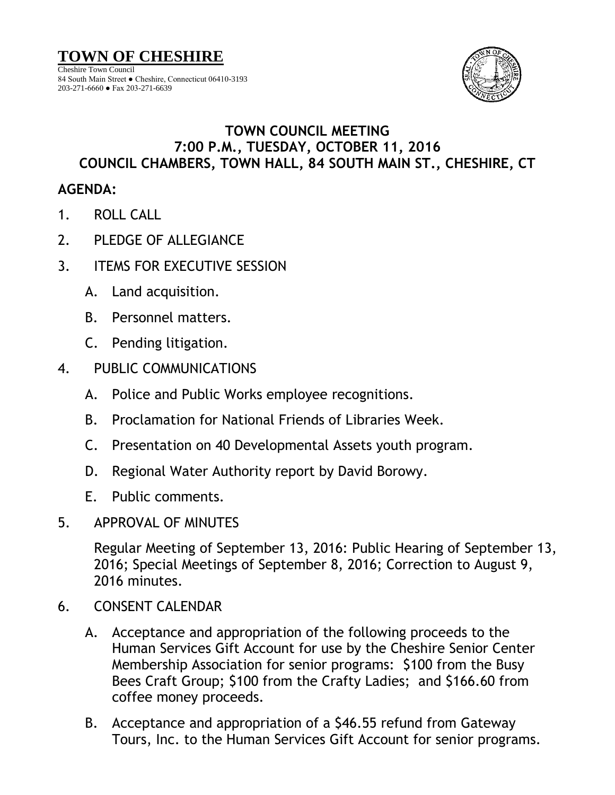

## **TOWN COUNCIL MEETING 7:00 P.M., TUESDAY, OCTOBER 11, 2016 COUNCIL CHAMBERS, TOWN HALL, 84 SOUTH MAIN ST., CHESHIRE, CT**

## **AGENDA:**

- 1. ROLL CALL
- 2. PLEDGE OF ALLEGIANCE
- 3. ITEMS FOR EXECUTIVE SESSION
	- A. Land acquisition.
	- B. Personnel matters.
	- C. Pending litigation.
- 4. PUBLIC COMMUNICATIONS
	- A. Police and Public Works employee recognitions.
	- B. Proclamation for National Friends of Libraries Week.
	- C. Presentation on 40 Developmental Assets youth program.
	- D. Regional Water Authority report by David Borowy.
	- E. Public comments.
- 5. APPROVAL OF MINUTES

Regular Meeting of September 13, 2016: Public Hearing of September 13, 2016; Special Meetings of September 8, 2016; Correction to August 9, 2016 minutes.

- 6. CONSENT CALENDAR
	- A. Acceptance and appropriation of the following proceeds to the Human Services Gift Account for use by the Cheshire Senior Center Membership Association for senior programs: \$100 from the Busy Bees Craft Group; \$100 from the Crafty Ladies; and \$166.60 from coffee money proceeds.
	- B. Acceptance and appropriation of a \$46.55 refund from Gateway Tours, Inc. to the Human Services Gift Account for senior programs.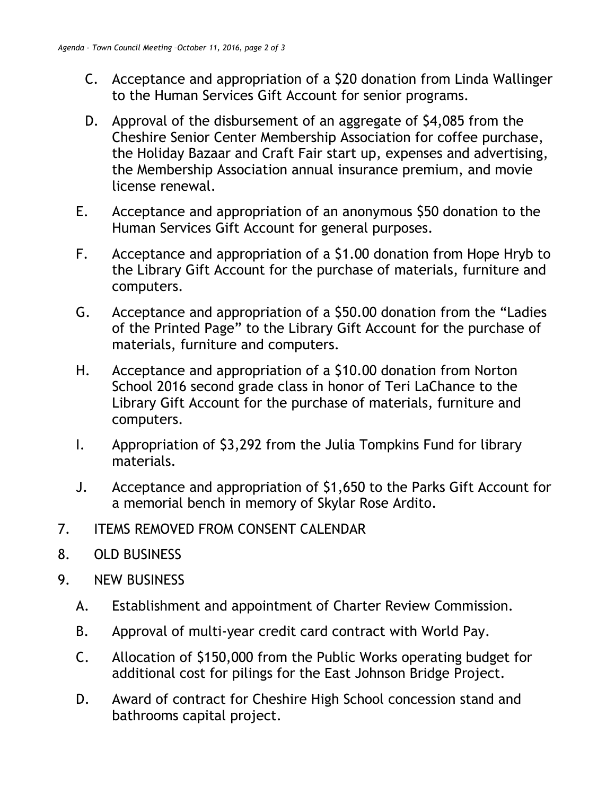- C. Acceptance and appropriation of a \$20 donation from Linda Wallinger to the Human Services Gift Account for senior programs.
- D. Approval of the disbursement of an aggregate of \$4,085 from the Cheshire Senior Center Membership Association for coffee purchase, the Holiday Bazaar and Craft Fair start up, expenses and advertising, the Membership Association annual insurance premium, and movie license renewal.
- E. Acceptance and appropriation of an anonymous \$50 donation to the Human Services Gift Account for general purposes.
- F. Acceptance and appropriation of a \$1.00 donation from Hope Hryb to the Library Gift Account for the purchase of materials, furniture and computers.
- G. Acceptance and appropriation of a \$50.00 donation from the "Ladies of the Printed Page" to the Library Gift Account for the purchase of materials, furniture and computers.
- H. Acceptance and appropriation of a \$10.00 donation from Norton School 2016 second grade class in honor of Teri LaChance to the Library Gift Account for the purchase of materials, furniture and computers.
- I. Appropriation of \$3,292 from the Julia Tompkins Fund for library materials.
- J. Acceptance and appropriation of \$1,650 to the Parks Gift Account for a memorial bench in memory of Skylar Rose Ardito.
- 7. ITEMS REMOVED FROM CONSENT CALENDAR
- 8. OLD BUSINESS
- 9. NEW BUSINESS
	- A. Establishment and appointment of Charter Review Commission.
	- B. Approval of multi-year credit card contract with World Pay.
	- C. Allocation of \$150,000 from the Public Works operating budget for additional cost for pilings for the East Johnson Bridge Project.
	- D. Award of contract for Cheshire High School concession stand and bathrooms capital project.